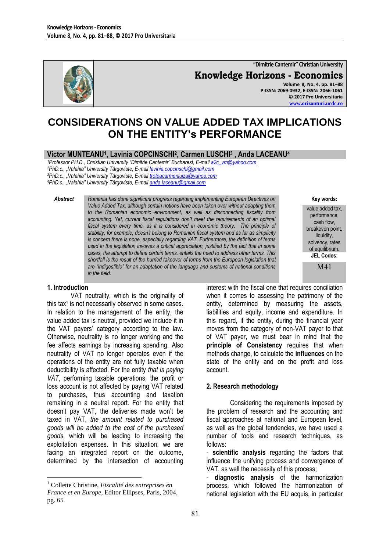

**"Dimitrie Cantemir" Christian University Knowledge Horizons - Economics Volume 8, No. 4, pp. 81–88 P-ISSN: 2069-0932, E-ISSN: 2066-1061 © 2017 Pro Universitaria**

# **CONSIDERATIONS ON VALUE ADDED TAX IMPLICATIONS ON THE ENTITY's PERFORMANCE**

## **Victor MUNTEANU<sup>1</sup> , Lavinia COPCINSCHI<sup>2</sup> , Carmen LUSCHI<sup>3</sup> , Anda LACEANU<sup>4</sup>**

*<sup>1</sup>Professor PH.D., Christian University "Dimitrie Cantemir" Bucharest, E-mai[l a2c\\_vm@yahoo.com](mailto:a2c_vm@yahoo.com) <sup>2</sup>PhD.c., "Valahia" University Târgoviste, E-mai[l lavinia.copcinschi@gmail.com](mailto:lavinia.copcinschi@gmail.com)*

*<sup>3</sup>PhD.c., "Valahia" University Târgoviste, E-mai[l troteacarmenluiza@yahoo.com](mailto:troteacarmenluiza@yahoo.com)*

*<sup>4</sup>PhD.c., "Valahia" University Târgoviste, E-mai[l anda.laceanu@gmail.com](mailto:anda.laceanu@gmail.com)*

*Abstract Romania has done significant progress regarding implementing European Directives on Value Added Tax, although certain notions have been taken over without adapting them to the Romanian economic environment, as well as disconnecting fiscality from accounting. Yet, current fiscal regulations don't meet the requirements of an optimal fiscal system every time, as it is considered in economic theory. The principle of stability, for example, doesn't belong to Romanian fiscal system and as far as simplicity is concern there is none, especially regarding VAT. Furthermore, the definition of terms used in the legislation involves a critical appreciation, justified by the fact that in some cases, the attempt to define certain terms, entails the need to address other terms. This shortfall is the result of the hurried takeover of terms from the European legislation that are "indigestible" for an adaptation of the language and customs of national conditions in the field.*

**Key words:**

**[www.orizonturi.ucdc.ro](http://www.orizonturi.ucdc.ro/)**

value added tax, performance, cash flow, breakeven point, liquidity. solvency, rates of equilibrium. **JEL Codes:**

M41

#### **1. Introduction**

1

VAT neutrality, which is the originality of this tax<sup>1</sup> is not necessarily observed in some cases. In relation to the management of the entity, the value added tax is neutral, provided we include it in the VAT payers' category according to the law. Otherwise, neutrality is no longer working and the fee affects earnings by increasing spending. Also neutrality of VAT no longer operates even if the operations of the entity are not fully taxable when deductibility is affected. For the entity *that is paying VAT*, performing taxable operations, the profit or loss account is not affected by paying VAT related to purchases, thus accounting and taxation remaining in a neutral report. For the entity that doesn't pay VAT, the deliveries made won't be taxed in VAT, *the amount related to purchased goods will be added to the cost of the purchased goods,* which will be leading to increasing the exploitation expenses. In this situation, we are facing an integrated report on the outcome, determined by the intersection of accounting

interest with the fiscal one that requires conciliation when it comes to assessing the patrimony of the entity, determined by measuring the assets, liabilities and equity, income and expenditure. In this regard, if the entity, during the financial year moves from the category of non-VAT payer to that of VAT payer, we must bear in mind that the **principle of Consistency** requires that when methods change, to calculate the **influences** on the state of the entity and on the profit and loss account.

#### **2. Research methodology**

Considering the requirements imposed by the problem of research and the accounting and fiscal approaches at national and European level, as well as the global tendencies, we have used a number of tools and research techniques, as follows:

- **diagnostic analysis** of the harmonization process, which followed the harmonization of national legislation with the EU acquis, in particular

<sup>1</sup> Collette Christine, *Fiscalité des entreprises en France et en Europe*, Editor Ellipses, Paris, 2004, pg. 65

<sup>-</sup> **scientific analysis** regarding the factors that influence the unifying process and convergence of VAT, as well the necessity of this process;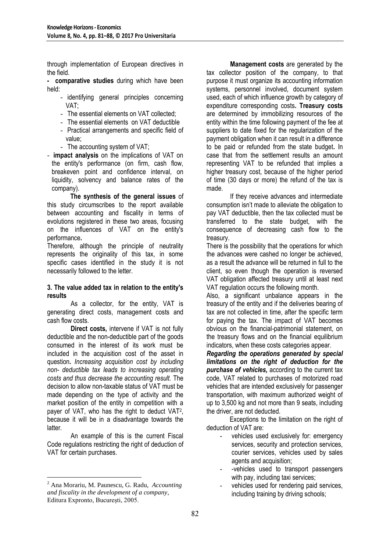through implementation of European directives in the field.

**- comparative studies** during which have been held:

- identifying general principles concerning VAT;
- The essential elements on VAT collected;
- The essential elements on VAT deductible
- Practical arrangements and specific field of value;
- The accounting system of VAT;
- **impact analysis** on the implications of VAT on the entity's performance (on firm, cash flow, breakeven point and confidence interval, on liquidity, solvency and balance rates of the company).

**The synthesis of the general issues** of this study circumscribes to the report available between accounting and fiscality in terms of evolutions registered in these two areas, focusing on the influences of VAT on the entity's performance**.** 

Therefore, although the principle of neutrality represents the originality of this tax, in some specific cases identified in the study it is not necessarily followed to the letter.

#### **3. The value added tax in relation to the entity's results**

As a collector, for the entity, VAT is generating direct costs, management costs and cash flow costs.

**Direct costs,** intervene if VAT is not fully deductible and the non-deductible part of the goods consumed in the interest of its work must be included in the acquisition cost of the asset in question**.** *Increasing acquisition cost by including non- deductible tax leads to increasing operating costs and thus decrease the accounting result.* The decision to allow non-taxable status of VAT must be made depending on the type of activity and the market position of the entity in competition with a payer of VAT, who has the right to deduct VAT<sup>2</sup>, because it will be in a disadvantage towards the latter*.* 

An example of this is the current Fiscal Code regulations restricting the right of deduction of VAT for certain purchases.

1

**Management costs** are generated by the tax collector position of the company, to that purpose it must organize its accounting information systems, personnel involved, document system used, each of which influence growth by category of expenditure corresponding costs**. Treasury costs**  are determined by immobilizing resources of the entity within the time following payment of the fee at suppliers to date fixed for the regularization of the payment obligation when it can result in a difference to be paid or refunded from the state budget**.** In case that from the settlement results an amount representing VAT to be refunded that implies a higher treasury cost, because of the higher period of time (30 days or more) the refund of the tax is made.

If they receive advances and intermediate consumption isn't made to alleviate the obligation to pay VAT deductible, then the tax collected must be transferred to the state budget, with the consequence of decreasing cash flow to the treasury.

There is the possibility that the operations for which the advances were cashed no longer be achieved, as a result the advance will be returned in full to the client, so even though the operation is reversed VAT obligation affected treasury until at least next VAT regulation occurs the following month.

Also, a significant unbalance appears in the treasury of the entity and if the deliveries bearing of tax are not collected in time, after the specific term for paying the tax. The impact of VAT becomes obvious on the financial-patrimonial statement, on the treasury flows and on the financial equilibrium indicators, when these costs categories appear.

*Regarding the operations generated by special limitations on the right of deduction for the purchase of vehicles,* according to the current tax code, VAT related to purchases of motorized road vehicles that are intended exclusively for passenger transportation, with maximum authorized weight of up to 3,500 kg and not more than 9 seats, including the driver, are not deducted.

Exceptions to the limitation on the right of deduction of VAT are:

- vehicles used exclusively for: emergency services, security and protection services, courier services, vehicles used by sales agents and acquisition;
- -vehicles used to transport passengers with pay, including taxi services:
- vehicles used for rendering paid services, including training by driving schools;

<sup>2</sup> Ana Morariu, M. Paunescu, G. Radu, *Accounting and fiscality in the development of a company*, Editura Expronto, București, 2005.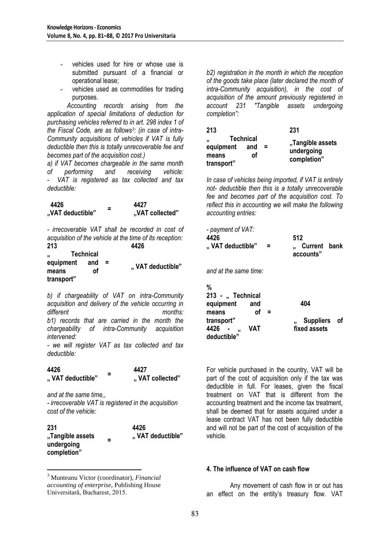- vehicles used for hire or whose use is submitted pursuant of a financial or operational lease;
- vehicles used as commodities for trading purposes.

 *Accounting records arising from the application of special limitations of deduction for purchasing vehicles referred to in art. 298 index 1 of the Fiscal Code, are as follows<sup>3</sup> : (in case of intra-Community acquisitions of vehicles if VAT is fully deductible then this is totally unrecoverable fee and becomes part of the acquisition cost.)*

*a) if VAT becomes chargeable in the same month of performing and receiving vehicle: - VAT is registered as tax collected and tax deductible:*

| 4426             |   | 4427            |
|------------------|---|-----------------|
| "VAT deductible" | - | "VAT collected" |

*- irrecoverable VAT shall be recorded in cost of acquisition of the vehicle at the time of its reception:* **213 4426**

| 2 I J              |                  |     | 44Z0             |
|--------------------|------------------|-----|------------------|
| ,,                 | <b>Technical</b> |     |                  |
| equipment<br>means | and<br>οf        | $=$ | "VAT deductible" |
| transport"         |                  |     |                  |

*b) if chargeability of VAT on intra-Community acquisition and delivery of the vehicle occurring in different months: b1) records that are carried in the month the chargeability of intra-Community acquisition intervened:*

*- we will register VAT as tax collected and tax deductible:*

| 4426             | - | 4427            |
|------------------|---|-----------------|
| "VAT deductible" | - | "VAT collected" |

*and at the same time,,*

<u>.</u>

*- irrecoverable VAT is registered in the acquisition cost of the vehicle:*

| 231                                           |   | 4426             |
|-----------------------------------------------|---|------------------|
| "Tangible assets<br>undergoing<br>completion" | = | "VAT deductible" |
|                                               |   |                  |

<sup>3</sup> Munteanu Victor (coordinator), *Financial accounting of enterprise*, Publishing House Universitară, Bucharest, 2015.

*b2) registration in the month in which the reception of the goods take place (later declared the month of intra-Community acquisition), in the cost of acquisition of the amount previously registered in account 231 "Tangible assets undergoing completion":*

| 213                                                        |           |          | 231                                           |
|------------------------------------------------------------|-----------|----------|-----------------------------------------------|
| <b>Technical</b><br>,,<br>equipment<br>means<br>transport" | and<br>οf | $\equiv$ | "Tangible assets<br>undergoing<br>completion" |

*In case of vehicles being imported, if VAT is entirely not- deductible then this is a totally unrecoverable fee and becomes part of the acquisition cost. To reflect this in accounting we will make the following accounting entries:*

| - payment of VAT:<br>4426<br>"VAT deductible"                           |   | 512<br>Current bank<br>accounts" |  |
|-------------------------------------------------------------------------|---|----------------------------------|--|
| and at the same time:                                                   |   |                                  |  |
| %<br>213 - " Technical<br>equipment<br>and<br>οf<br>means<br>transport" | Ξ | 404<br>Suppliers of              |  |
| VAT<br>4426<br>,,<br>deductible"                                        |   | fixed assets                     |  |

For vehicle purchased in the country, VAT will be part of the cost of acquisition only if the tax was deductible in full. For leases, given the fiscal treatment on VAT that is different from the accounting treatment and the income tax treatment, shall be deemed that for assets acquired under a lease contract VAT has not been fully deductible and will not be part of the cost of acquisition of the vehicle.

#### **4. The influence of VAT on cash flow**

Any movement of cash flow in or out has an effect on the entity's treasury flow. VAT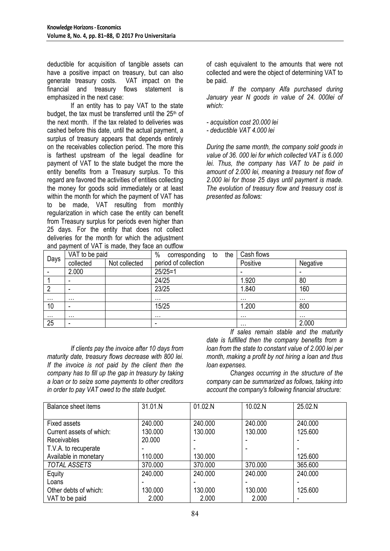deductible for acquisition of tangible assets can have a positive impact on treasury, but can also generate treasury costs. VAT impact on the financial and treasury flows statement is emphasized in the next case:

If an entity has to pay VAT to the state budget, the tax must be transferred until the 25<sup>th</sup> of the next month. If the tax related to deliveries was cashed before this date, until the actual payment, a surplus of treasury appears that depends entirely on the receivables collection period. The more this is farthest upstream of the legal deadline for payment of VAT to the state budget the more the entity benefits from a Treasury surplus. To this regard are favored the activities of entities collecting the money for goods sold immediately or at least within the month for which the payment of VAT has to be made, VAT resulting from monthly regularization in which case the entity can benefit from Treasury surplus for periods even higher than 25 days. For the entity that does not collect deliveries for the month for which the adjustment and payment of VAT is made, they face an outflow of cash equivalent to the amounts that were not collected and were the object of determining VAT to be paid.

*If the company Alfa purchased during January year N goods in value of 24. 000lei of which:*

*- acquisition cost 20.000 lei*

*- deductible VAT 4.000 lei*

*During the same month, the company sold goods in value of 36. 000 lei for which collected VAT is 6.000 lei. Thus, the company has VAT to be paid in amount of 2.000 lei, meaning a treasury net flow of 2.000 lei for those 25 days until payment is made. The evolution of treasury flow and treasury cost is presented as follows:*

|          | VAT to be paid |               | $\%$<br>corresponding<br>the<br>to | Cash flows               |          |  |
|----------|----------------|---------------|------------------------------------|--------------------------|----------|--|
| Days     | collected      | Not collected | period of collection               | Positive                 | Negative |  |
|          | 2.000          |               | $25/25=1$                          | $\overline{\phantom{0}}$ | -        |  |
|          | -              |               | 24/25                              | 1.920                    | 80       |  |
| າ        |                |               | 23/25                              | 1.840                    | 160      |  |
| .        | $\cdots$       |               | $\cdots$                           | $\cdots$                 | $\cdots$ |  |
| 10       | -              |               | 15/25                              | 1.200                    | 800      |  |
| $\cdots$ | $\cdots$       |               | $\cdots$                           | $\cdots$                 | $\cdots$ |  |
| 25       | ۰              |               | -                                  | $\cdots$                 | 2.000    |  |

*If clients pay the invoice after 10 days from maturity date, treasury flows decrease with 800 lei. If the invoice is not paid by the client then the company has to fill up the gap in treasury by taking a loan or to seize some payments to other creditors in order to pay VAT owed to the state budget.* 

*If sales remain stable and the maturity date is fulfilled then the company benefits from a loan from the state to constant value of 2.000 lei per month, making a profit by not hiring a loan and thus loan expenses.* 

*Changes occurring in the structure of the company can be summarized as follows, taking into account the company's following financial structure:*

| Balance sheet items      | 31.01.N | 01.02.N | 10.02.N | 25.02.N                  |
|--------------------------|---------|---------|---------|--------------------------|
| Fixed assets             | 240.000 | 240,000 | 240,000 | 240,000                  |
| Current assets of which: | 130.000 | 130,000 | 130,000 | 125.600                  |
| <b>Receivables</b>       | 20,000  |         |         |                          |
| T.V.A. to recuperate     |         |         |         |                          |
| Available in monetary    | 110.000 | 130,000 |         | 125.600                  |
| <b>TOTAL ASSETS</b>      | 370.000 | 370.000 | 370.000 | 365.600                  |
| Equity                   | 240,000 | 240,000 | 240.000 | 240,000                  |
| Loans                    |         |         |         |                          |
| Other debts of which:    | 130.000 | 130,000 | 130,000 | 125.600                  |
| VAT to be paid           | 2.000   | 2.000   | 2.000   | $\overline{\phantom{0}}$ |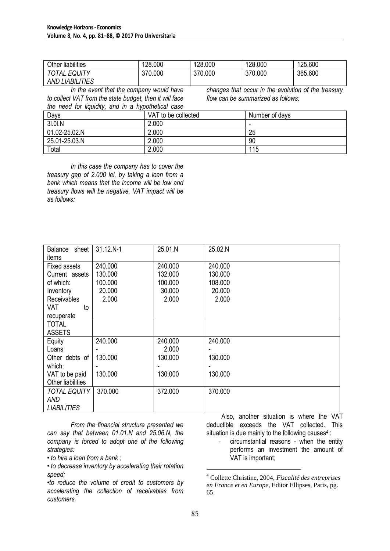| <b>Other liabilities</b> | 128.000 | 128.000 | 128.000 | 125.600 |
|--------------------------|---------|---------|---------|---------|
| <b>TOTAL EQUITY</b>      | 370.000 | 370.000 | 370.000 | 365.600 |
| <b>AND LIABILITIES</b>   |         |         |         |         |

*In the event that the company would have to collect VAT from the state budget, then it will face the need for liquidity, and in a hypothetical case* 

*changes that occur in the evolution of the treasury flow can be summarized as follows:*

|               | are not not inquirity, and in a hypotholiour cape |                |  |  |
|---------------|---------------------------------------------------|----------------|--|--|
| Days          | VAT to be collected                               | Number of days |  |  |
| 31.01.N       | 2.000                                             |                |  |  |
| 01.02-25.02.N | 2.000                                             | 25             |  |  |
| 25.01-25.03.N | 2.000                                             | 90             |  |  |
| Total         | 2.000                                             | 115            |  |  |

*In this case the company has to cover the treasury gap of 2.000 lei, by taking a loan from a bank which means that the income will be low and treasury flows will be negative, VAT impact will be as follows:*

| Balance sheet       | 31.12.N-1 | 25.01.N | 25.02.N |
|---------------------|-----------|---------|---------|
| items               |           |         |         |
|                     |           |         |         |
| <b>Fixed assets</b> | 240,000   | 240.000 | 240.000 |
| Current assets      | 130.000   | 132.000 | 130.000 |
| of which:           | 100.000   | 100.000 | 108.000 |
| Inventory           | 20.000    | 30.000  | 20.000  |
| <b>Receivables</b>  | 2.000     | 2.000   | 2.000   |
| VAT<br>to           |           |         |         |
| recuperate          |           |         |         |
| <b>TOTAL</b>        |           |         |         |
| <b>ASSETS</b>       |           |         |         |
| Equity              | 240.000   | 240.000 | 240.000 |
| Loans               |           | 2.000   |         |
| Other debts of      | 130.000   | 130,000 | 130.000 |
| which:              |           |         |         |
| VAT to be paid      | 130.000   | 130.000 | 130.000 |
| Other liabilities   |           |         |         |
| <b>TOTAL EQUITY</b> | 370.000   | 372.000 | 370.000 |
| AND                 |           |         |         |
| <b>LIABILITIES</b>  |           |         |         |

*From the financial structure presented we can say that between 01.01.N and 25.06.N, the company is forced to adopt one of the following strategies:*

*• to hire a loan from a bank ;*

*• to decrease inventory by accelerating their rotation speed;*

*•to reduce the volume of credit to customers by accelerating the collection of receivables from customers.*

 Also, another situation is where the VAT deductible exceeds the VAT collected. This situation is due mainly to the following causes<sup>4</sup>:

circumstantial reasons - when the entity performs an investment the amount of VAT is important;

<u>.</u>

<sup>4</sup> Collette Christine, 2004, *Fiscalité des entreprises en France et en Europe*, Editor Ellipses, Paris, pg. 65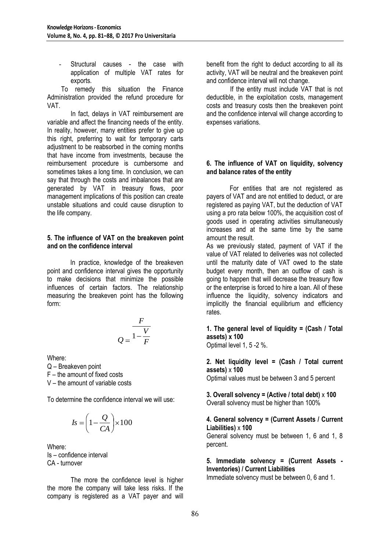Structural causes - the case with application of multiple VAT rates for exports.

To remedy this situation the Finance Administration provided the refund procedure for VAT.

In fact, delays in VAT reimbursement are variable and affect the financing needs of the entity. In reality, however, many entities prefer to give up this right, preferring to wait for temporary carts adjustment to be reabsorbed in the coming months that have income from investments, because the reimbursement procedure is cumbersome and sometimes takes a long time. In conclusion, we can say that through the costs and imbalances that are generated by VAT in treasury flows, poor management implications of this position can create unstable situations and could cause disruption to the life company.

#### **5. The influence of VAT on the breakeven point and on the confidence interval**

In practice, knowledge of the breakeven point and confidence interval gives the opportunity to make decisions that minimize the possible influences of certain factors. The relationship measuring the breakeven point has the following form:

$$
Q = \frac{F}{1 - \frac{V}{F}}
$$

Where:

Q – Breakeven point F – the amount of fixed costs

V – the amount of variable costs

To determine the confidence interval we will use:

$$
Is = \left(1 - \frac{Q}{CA}\right) \times 100
$$

Where: Is – confidence interval CA - turnover

The more the confidence level is higher the more the company will take less risks. If the company is registered as a VAT payer and will benefit from the right to deduct according to all its activity, VAT will be neutral and the breakeven point and confidence interval will not change.

If the entity must include VAT that is not deductible, in the exploitation costs, management costs and treasury costs then the breakeven point and the confidence interval will change according to expenses variations.

## **6. The influence of VAT on liquidity, solvency and balance rates of the entity**

For entities that are not registered as payers of VAT and are not entitled to deduct, or are registered as paying VAT, but the deduction of VAT using a pro rata below 100%, the acquisition cost of goods used in operating activities simultaneously increases and at the same time by the same amount the result.

As we previously stated, payment of VAT if the value of VAT related to deliveries was not collected until the maturity date of VAT owed to the state budget every month, then an outflow of cash is going to happen that will decrease the treasury flow or the enterprise is forced to hire a loan. All of these influence the liquidity, solvency indicators and implicitly the financial equilibrium and efficiency rates.

**1. The general level of liquidity = (Cash / Total assets) x 100**

Optimal level 1, 5 -2 %.

#### **2. Net liquidity level = (Cash / Total current assets)** x **100**

Optimal values must be between 3 and 5 percent

**3. Overall solvency = (Active / total debt)** x **100** Overall solvency must be higher than 100%

## **4. General solvency = (Current Assets / Current Liabilities)** x **100**

General solvency must be between 1, 6 and 1, 8 percent.

**5. Immediate solvency = (Current Assets - Inventories) / Current Liabilities**

Immediate solvency must be between 0, 6 and 1.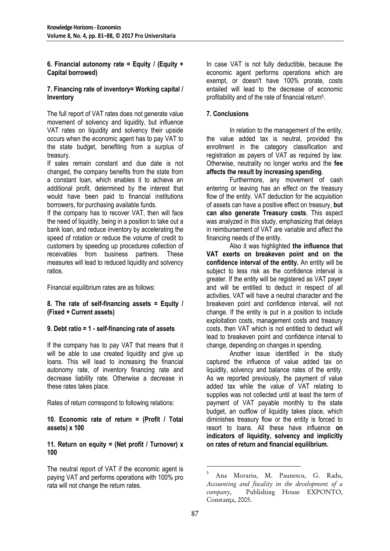## **6. Financial autonomy rate = Equity / (Equity + Capital borrowed)**

#### **7. Financing rate of inventory= Working capital / Inventory**

The full report of VAT rates does not generate value movement of solvency and liquidity, but influence VAT rates on liquidity and solvency their upside occurs when the economic agent has to pay VAT to the state budget, benefiting from a surplus of treasury.

If sales remain constant and due date is not changed, the company benefits from the state from a constant loan, which enables it to achieve an additional profit, determined by the interest that would have been paid to financial institutions borrowers, for purchasing available funds.

If the company has to recover VAT, then will face the need of liquidity, being in a position to take out a bank loan, and reduce inventory by accelerating the speed of rotation or reduce the volume of credit to customers by speeding up procedures collection of receivables from business partners. These measures will lead to reduced liquidity and solvency ratios.

Financial equilibrium rates are as follows:

## **8. The rate of self-financing assets = Equity / (Fixed + Current assets)**

## **9. Debt ratio = 1 - self-financing rate of assets**

If the company has to pay VAT that means that it will be able to use created liquidity and give up loans. This will lead to increasing the financial autonomy rate, of inventory financing rate and decrease liability rate. Otherwise a decrease in these rates takes place.

Rates of return correspond to following relations:

**10. Economic rate of return = (Profit / Total assets) x 100**

## **11. Return on equity = (Net profit / Turnover) x 100**

The neutral report of VAT if the economic agent is paying VAT and performs operations with 100% pro rata will not change the return rates.

In case VAT is not fully deductible, because the economic agent performs operations which are exempt, or doesn't have 100% prorate, costs entailed will lead to the decrease of economic profitability and of the rate of financial return<sup>5</sup>.

## **7. Conclusions**

 In relation to the management of the entity, the value added tax is neutral, provided the enrollment in the category classification and registration as payers of VAT as required by law. Otherwise, neutrality no longer works and the **fee affects the result by increasing spending**.

Furthermore, any movement of cash entering or leaving has an effect on the treasury flow of the entity. VAT deduction for the acquisition of assets can have a positive effect on treasury, **but can also generate Treasury costs**. This aspect was analyzed in this study, emphasizing that delays in reimbursement of VAT are variable and affect the financing needs of the entity.

Also it was highlighted **the influence that VAT exerts on breakeven point and on the confidence interval of the entity.** An entity will be subject to less risk as the confidence interval is greater. If the entity will be registered as VAT payer and will be entitled to deduct in respect of all activities, VAT will have a neutral character and the breakeven point and confidence interval, will not change. If the entity is put in a position to include exploitation costs, management costs and treasury costs, then VAT which is not entitled to deduct will lead to breakeven point and confidence interval to change, depending on changes in spending.

Another issue identified in the study captured the influence of value added tax on liquidity, solvency and balance rates of the entity. As we reported previously, the payment of value added tax while the value of VAT relating to supplies was not collected until at least the term of payment of VAT payable monthly to the state budget, an outflow of liquidity takes place, which diminishes treasury flow or the entity is forced to resort to loans. All these have influence **on indicators of liquidity, solvency and implicitly on rates of return and financial equilibrium.**

<u>.</u>

<sup>5</sup> Ana Morariu, M. Paunescu, G. Radu, *Accounting and fiscality in the development of a company*, Publishing House EXPONTO, Constanta, 2005.